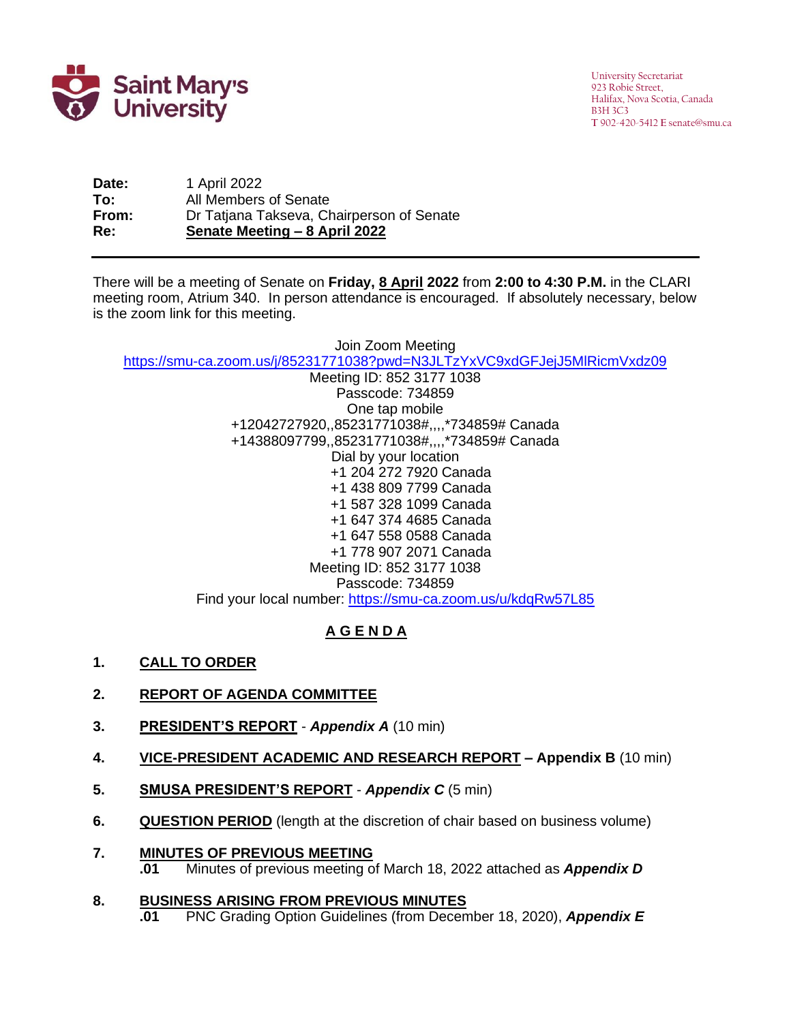

**Date:** 1 April 2022 **To:** All Members of Senate **From:** Dr Tatjana Takseva, Chairperson of Senate **Re: Senate Meeting – 8 April 2022**

There will be a meeting of Senate on **Friday, 8 April 2022** from **2:00 to 4:30 P.M.** in the CLARI 2sm meeting room, Atrium 340. In person attendance is encouraged. If absolutely necessary, below is the zoom link for this meeting.

Join Zoom Meeting <https://smu-ca.zoom.us/j/85231771038?pwd=N3JLTzYxVC9xdGFJejJ5MlRicmVxdz09>

Meeting ID: 852 3177 1038 Passcode: 734859 One tap mobile +12042727920,,85231771038#,,,,\*734859# Canada +14388097799,,85231771038#,,,,\*734859# Canada Dial by your location +1 204 272 7920 Canada +1 438 809 7799 Canada +1 587 328 1099 Canada +1 647 374 4685 Canada +1 647 558 0588 Canada +1 778 907 2071 Canada Meeting ID: 852 3177 1038 Passcode: 734859 Find your local number:<https://smu-ca.zoom.us/u/kdqRw57L85>

# **A G E N D A**

**1. CALL TO ORDER**

## **2. REPORT OF AGENDA COMMITTEE**

- **3. PRESIDENT'S REPORT** *Appendix A* (10 min)
- **4. VICE-PRESIDENT ACADEMIC AND RESEARCH REPORT – Appendix B** (10 min)
- **5. SMUSA PRESIDENT'S REPORT** *Appendix C* (5 min)
- **6. QUESTION PERIOD** (length at the discretion of chair based on business volume)
- **7. MINUTES OF PREVIOUS MEETING**
	- **.01** Minutes of previous meeting of March 18, 2022 attached as *Appendix D*

#### **8. BUSINESS ARISING FROM PREVIOUS MINUTES**

**.01** PNC Grading Option Guidelines (from December 18, 2020), *Appendix E*